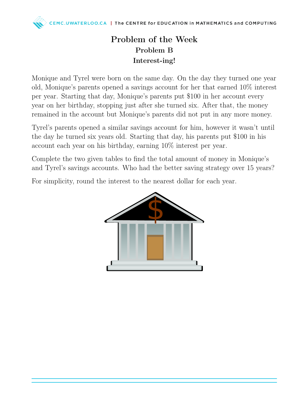## Problem of the Week Problem B Interest-ing!

Monique and Tyrel were born on the same day. On the day they turned one year old, Monique's parents opened a savings account for her that earned 10% interest per year. Starting that day, Monique's parents put \$100 in her account every year on her birthday, stopping just after she turned six. After that, the money remained in the account but Monique's parents did not put in any more money.

Tyrel's parents opened a similar savings account for him, however it wasn't until the day he turned six years old. Starting that day, his parents put \$100 in his account each year on his birthday, earning 10% interest per year.

Complete the two given tables to find the total amount of money in Monique's and Tyrel's savings accounts. Who had the better saving strategy over 15 years?

For simplicity, round the interest to the nearest dollar for each year.